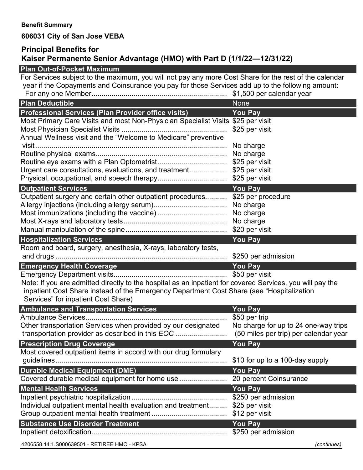## **Benefit Summary**

# **606031 City of San Jose VEBA**

### **Principal Benefits for Kaiser Permanente Senior Advantage (HMO) with Part D (1/1/22—12/31/22)**

# **Plan Out-of-Pocket Maximum** For Services subject to the maximum, you will not pay any more Cost Share for the rest of the calendar year if the Copayments and Coinsurance you pay for those Services add up to the following amount: For any one Member.................................................................... \$1,500 per calendar year **Plan Deductible None According to the United States of the United States of the United States of the United States of the United States of the United States of the United States of the United States of the United States o Professional Services (Plan Provider office visits) You Pay** Most Primary Care Visits and most Non-Physician Specialist Visits \$25 per visit Most Physician Specialist Visits ..................................................... \$25 per visit Annual Wellness visit and the "Welcome to Medicare" preventive visit ................................................................................................ No charge Routine physical exams.................................................................. No charge Routine eye exams with a Plan Optometrist................................... \$25 per visit Urgent care consultations, evaluations, and treatment................... \$25 per visit Physical, occupational, and speech therapy................................... \$25 per visit **Outpatient Services** *You Pay* Outpatient surgery and certain other outpatient procedures........... \$25 per procedure Allergy injections (including allergy serum)..................................... No charge Most immunizations (including the vaccine)................................... No charge Most X-rays and laboratory tests.................................................... No charge Manual manipulation of the spine................................................... \$20 per visit **Hospitalization Services You Pay** Room and board, surgery, anesthesia, X-rays, laboratory tests, and drugs ...................................................................................... \$250 per admission **Emergency Health Coverage You Pay** Emergency Department visits......................................................... \$50 per visit Note: If you are admitted directly to the hospital as an inpatient for covered Services, you will pay the inpatient Cost Share instead of the Emergency Department Cost Share (see "Hospitalization Services" for inpatient Cost Share) **Ambulance and Transportation Services You Pay** Ambulance Services....................................................................... \$50 per trip Other transportation Services when provided by our designated transportation provider as described in this *EOC* .......................... No charge for up to 24 one-way trips (50 miles per trip) per calendar year **Prescription Drug Coverage Access 20 You Pay** Most covered outpatient items in accord with our drug formulary guidelines...................................................................................... \$10 for up to a 100-day supply **Durable Medical Equipment (DME) You Pay** Covered durable medical equipment for home use........................ 20 percent Coinsurance **Mental Health Services** *Wental Health Services You Pay* Inpatient psychiatric hospitalization................................................ \$250 per admission Individual outpatient mental health evaluation and treatment......... \$25 per visit Group outpatient mental health treatment ...................................... \$12 per visit **Substance Use Disorder Treatment You Pay** Inpatient detoxification.................................................................... \$250 per admission

4206558.14.1.S000639501 - RETIREE HMO - KPSA *(continues)*